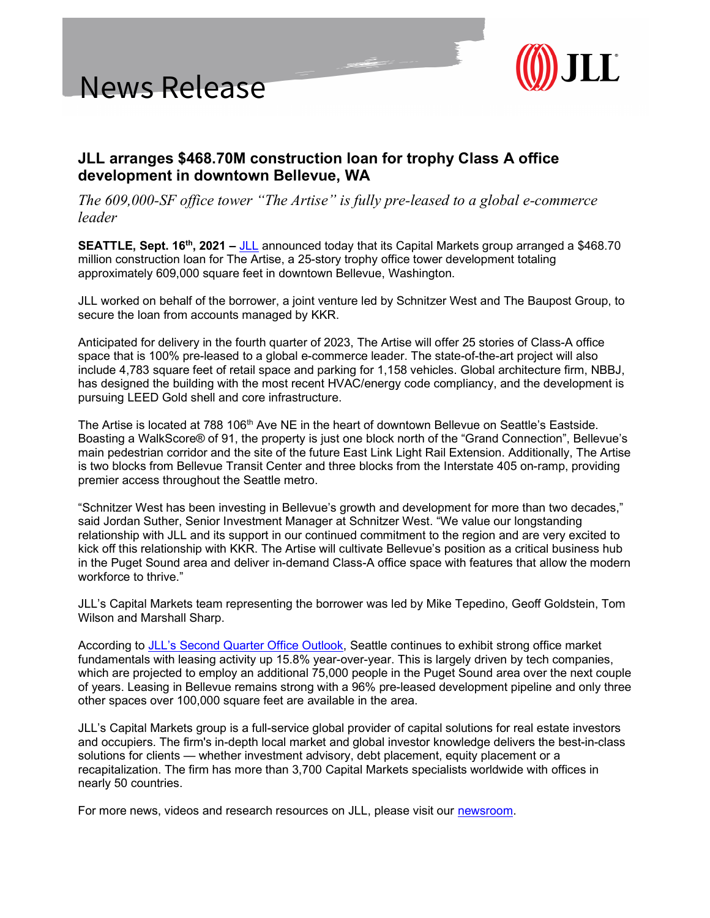



## JLL arranges \$468.70M construction loan for trophy Class A office development in downtown Bellevue, WA

The 609,000-SF office tower "The Artise" is fully pre-leased to a global e-commerce leader

SEATTLE, Sept. 16<sup>th</sup>, 2021 – JLL announced today that its Capital Markets group arranged a \$468.70 million construction loan for The Artise, a 25-story trophy office tower development totaling approximately 609,000 square feet in downtown Bellevue, Washington.

JLL worked on behalf of the borrower, a joint venture led by Schnitzer West and The Baupost Group, to secure the loan from accounts managed by KKR.

Anticipated for delivery in the fourth quarter of 2023, The Artise will offer 25 stories of Class-A office space that is 100% pre-leased to a global e-commerce leader. The state-of-the-art project will also include 4,783 square feet of retail space and parking for 1,158 vehicles. Global architecture firm, NBBJ, has designed the building with the most recent HVAC/energy code compliancy, and the development is pursuing LEED Gold shell and core infrastructure.

The Artise is located at 788 106<sup>th</sup> Ave NE in the heart of downtown Bellevue on Seattle's Eastside. Boasting a WalkScore® of 91, the property is just one block north of the "Grand Connection", Bellevue's main pedestrian corridor and the site of the future East Link Light Rail Extension. Additionally, The Artise is two blocks from Bellevue Transit Center and three blocks from the Interstate 405 on-ramp, providing premier access throughout the Seattle metro.

"Schnitzer West has been investing in Bellevue's growth and development for more than two decades," said Jordan Suther, Senior Investment Manager at Schnitzer West. "We value our longstanding relationship with JLL and its support in our continued commitment to the region and are very excited to kick off this relationship with KKR. The Artise will cultivate Bellevue's position as a critical business hub in the Puget Sound area and deliver in-demand Class-A office space with features that allow the modern workforce to thrive."

JLL's Capital Markets team representing the borrower was led by Mike Tepedino, Geoff Goldstein, Tom Wilson and Marshall Sharp.

According to JLL's Second Quarter Office Outlook, Seattle continues to exhibit strong office market fundamentals with leasing activity up 15.8% year-over-year. This is largely driven by tech companies, which are projected to employ an additional 75,000 people in the Puget Sound area over the next couple of years. Leasing in Bellevue remains strong with a 96% pre-leased development pipeline and only three other spaces over 100,000 square feet are available in the area.

JLL's Capital Markets group is a full-service global provider of capital solutions for real estate investors and occupiers. The firm's in-depth local market and global investor knowledge delivers the best-in-class solutions for clients — whether investment advisory, debt placement, equity placement or a recapitalization. The firm has more than 3,700 Capital Markets specialists worldwide with offices in nearly 50 countries.

For more news, videos and research resources on JLL, please visit our newsroom.